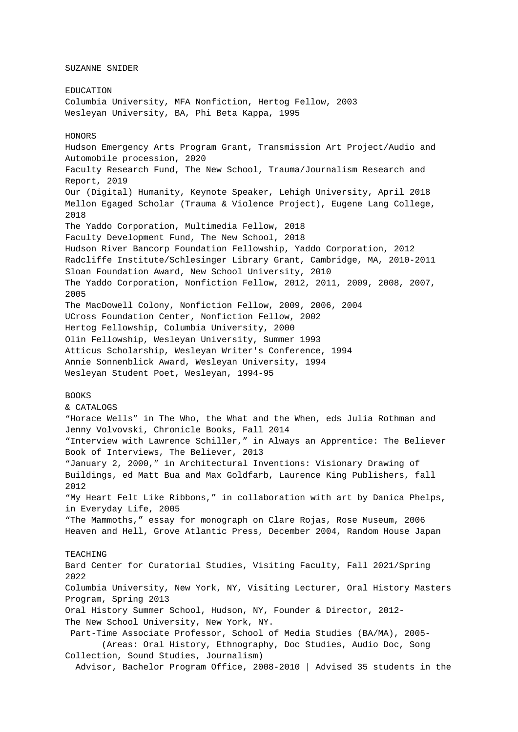SUZANNE SNIDER

EDUCATION Columbia University, MFA Nonfiction, Hertog Fellow, 2003 Wesleyan University, BA, Phi Beta Kappa, 1995 HONORS Hudson Emergency Arts Program Grant, Transmission Art Project/Audio and Automobile procession, 2020 Faculty Research Fund, The New School, Trauma/Journalism Research and Report, 2019 Our (Digital) Humanity, Keynote Speaker, Lehigh University, April 2018 Mellon Egaged Scholar (Trauma & Violence Project), Eugene Lang College, 2018 The Yaddo Corporation, Multimedia Fellow, 2018 Faculty Development Fund, The New School, 2018 Hudson River Bancorp Foundation Fellowship, Yaddo Corporation, 2012 Radcliffe Institute/Schlesinger Library Grant, Cambridge, MA, 2010-2011 Sloan Foundation Award, New School University, 2010 The Yaddo Corporation, Nonfiction Fellow, 2012, 2011, 2009, 2008, 2007, 2005 The MacDowell Colony, Nonfiction Fellow, 2009, 2006, 2004 UCross Foundation Center, Nonfiction Fellow, 2002 Hertog Fellowship, Columbia University, 2000 Olin Fellowship, Wesleyan University, Summer 1993 Atticus Scholarship, Wesleyan Writer's Conference, 1994 Annie Sonnenblick Award, Wesleyan University, 1994 Wesleyan Student Poet, Wesleyan, 1994-95 BOOKS & CATALOGS "Horace Wells" in The Who, the What and the When, eds Julia Rothman and Jenny Volvovski, Chronicle Books, Fall 2014 "Interview with Lawrence Schiller," in Always an Apprentice: The Believer Book of Interviews, The Believer, 2013 "January 2, 2000," in Architectural Inventions: Visionary Drawing of Buildings, ed Matt Bua and Max Goldfarb, Laurence King Publishers, fall 2012 "My Heart Felt Like Ribbons," in collaboration with art by Danica Phelps, in Everyday Life, 2005 "The Mammoths," essay for monograph on Clare Rojas, Rose Museum, 2006 Heaven and Hell, Grove Atlantic Press, December 2004, Random House Japan TEACHING Bard Center for Curatorial Studies, Visiting Faculty, Fall 2021/Spring 2022 Columbia University, New York, NY, Visiting Lecturer, Oral History Masters Program, Spring 2013 Oral History Summer School, Hudson, NY, Founder & Director, 2012- The New School University, New York, NY. Part-Time Associate Professor, School of Media Studies (BA/MA), 2005- (Areas: Oral History, Ethnography, Doc Studies, Audio Doc, Song Collection, Sound Studies, Journalism) Advisor, Bachelor Program Office, 2008-2010 | Advised 35 students in the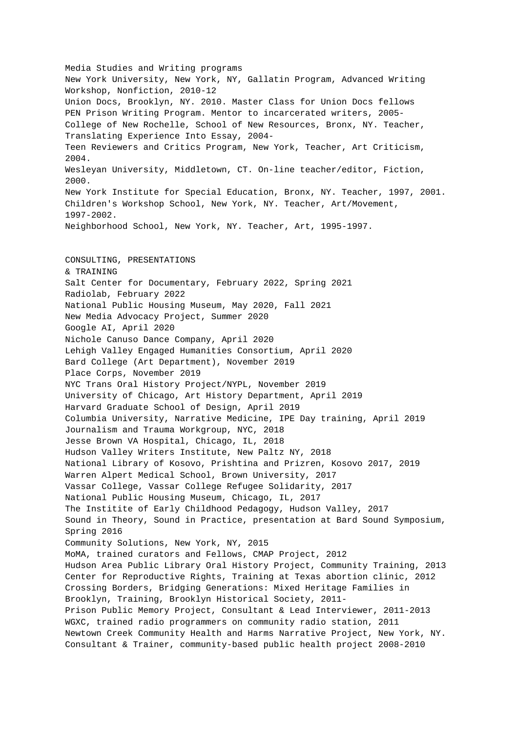Media Studies and Writing programs New York University, New York, NY, Gallatin Program, Advanced Writing Workshop, Nonfiction, 2010-12 Union Docs, Brooklyn, NY. 2010. Master Class for Union Docs fellows PEN Prison Writing Program. Mentor to incarcerated writers, 2005- College of New Rochelle, School of New Resources, Bronx, NY. Teacher, Translating Experience Into Essay, 2004- Teen Reviewers and Critics Program, New York, Teacher, Art Criticism, 2004. Wesleyan University, Middletown, CT. On-line teacher/editor, Fiction, 2000. New York Institute for Special Education, Bronx, NY. Teacher, 1997, 2001. Children's Workshop School, New York, NY. Teacher, Art/Movement, 1997-2002. Neighborhood School, New York, NY. Teacher, Art, 1995-1997. CONSULTING, PRESENTATIONS & TRAINING Salt Center for Documentary, February 2022, Spring 2021 Radiolab, February 2022 National Public Housing Museum, May 2020, Fall 2021 New Media Advocacy Project, Summer 2020 Google AI, April 2020 Nichole Canuso Dance Company, April 2020 Lehigh Valley Engaged Humanities Consortium, April 2020 Bard College (Art Department), November 2019 Place Corps, November 2019 NYC Trans Oral History Project/NYPL, November 2019 University of Chicago, Art History Department, April 2019 Harvard Graduate School of Design, April 2019 Columbia University, Narrative Medicine, IPE Day training, April 2019 Journalism and Trauma Workgroup, NYC, 2018 Jesse Brown VA Hospital, Chicago, IL, 2018 Hudson Valley Writers Institute, New Paltz NY, 2018 National Library of Kosovo, Prishtina and Prizren, Kosovo 2017, 2019 Warren Alpert Medical School, Brown University, 2017 Vassar College, Vassar College Refugee Solidarity, 2017 National Public Housing Museum, Chicago, IL, 2017 The Institite of Early Childhood Pedagogy, Hudson Valley, 2017 Sound in Theory, Sound in Practice, presentation at Bard Sound Symposium, Spring 2016 Community Solutions, New York, NY, 2015 MoMA, trained curators and Fellows, CMAP Project, 2012 Hudson Area Public Library Oral History Project, Community Training, 2013 Center for Reproductive Rights, Training at Texas abortion clinic, 2012 Crossing Borders, Bridging Generations: Mixed Heritage Families in Brooklyn, Training, Brooklyn Historical Society, 2011- Prison Public Memory Project, Consultant & Lead Interviewer, 2011-2013 WGXC, trained radio programmers on community radio station, 2011 Newtown Creek Community Health and Harms Narrative Project, New York, NY. Consultant & Trainer, community-based public health project 2008-2010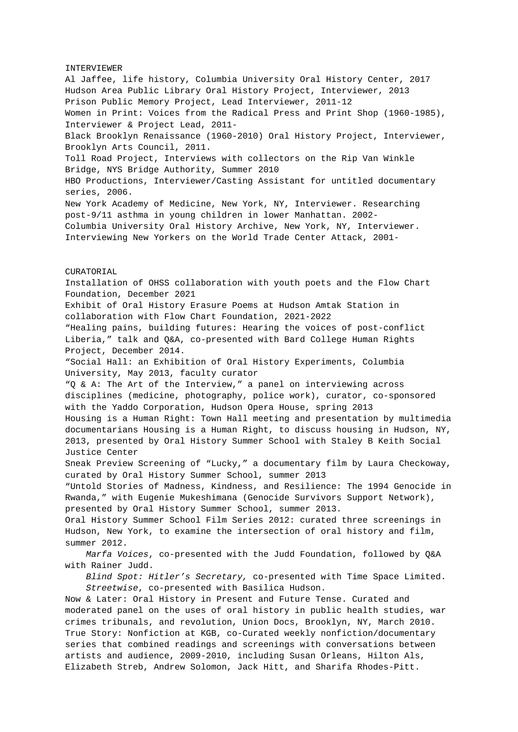INTERVIEWER Al Jaffee, life history, Columbia University Oral History Center, 2017 Hudson Area Public Library Oral History Project, Interviewer, 2013 Prison Public Memory Project, Lead Interviewer, 2011-12 Women in Print: Voices from the Radical Press and Print Shop (1960-1985), Interviewer & Project Lead, 2011- Black Brooklyn Renaissance (1960-2010) Oral History Project, Interviewer, Brooklyn Arts Council, 2011. Toll Road Project, Interviews with collectors on the Rip Van Winkle Bridge, NYS Bridge Authority, Summer 2010 HBO Productions, Interviewer/Casting Assistant for untitled documentary series, 2006. New York Academy of Medicine, New York, NY, Interviewer. Researching post-9/11 asthma in young children in lower Manhattan. 2002- Columbia University Oral History Archive, New York, NY, Interviewer. Interviewing New Yorkers on the World Trade Center Attack, 2001- CURATORIAL Installation of OHSS collaboration with youth poets and the Flow Chart Foundation, December 2021 Exhibit of Oral History Erasure Poems at Hudson Amtak Station in collaboration with Flow Chart Foundation, 2021-2022 "Healing pains, building futures: Hearing the voices of post-conflict Liberia," talk and Q&A, co-presented with Bard College Human Rights Project, December 2014. "Social Hall: an Exhibition of Oral History Experiments, Columbia University, May 2013, faculty curator "Q & A: The Art of the Interview," a panel on interviewing across disciplines (medicine, photography, police work), curator, co-sponsored with the Yaddo Corporation, Hudson Opera House, spring 2013 Housing is a Human Right: Town Hall meeting and presentation by multimedia documentarians Housing is a Human Right, to discuss housing in Hudson, NY, 2013, presented by Oral History Summer School with Staley B Keith Social Justice Center Sneak Preview Screening of "Lucky," a documentary film by Laura Checkoway, curated by Oral History Summer School, summer 2013 "Untold Stories of Madness, Kindness, and Resilience: The 1994 Genocide in Rwanda," with Eugenie Mukeshimana (Genocide Survivors Support Network), presented by Oral History Summer School, summer 2013. Oral History Summer School Film Series 2012: curated three screenings in Hudson, New York, to examine the intersection of oral history and film, summer 2012. Marfa Voices, co-presented with the Judd Foundation, followed by Q&A with Rainer Judd. Blind Spot: Hitler's Secretary, co-presented with Time Space Limited. Streetwise, co-presented with Basilica Hudson. Now & Later: Oral History in Present and Future Tense. Curated and moderated panel on the uses of oral history in public health studies, war crimes tribunals, and revolution, Union Docs, Brooklyn, NY, March 2010. True Story: Nonfiction at KGB, co-Curated weekly nonfiction/documentary series that combined readings and screenings with conversations between artists and audience, 2009-2010, including Susan Orleans, Hilton Als,

Elizabeth Streb, Andrew Solomon, Jack Hitt, and Sharifa Rhodes-Pitt.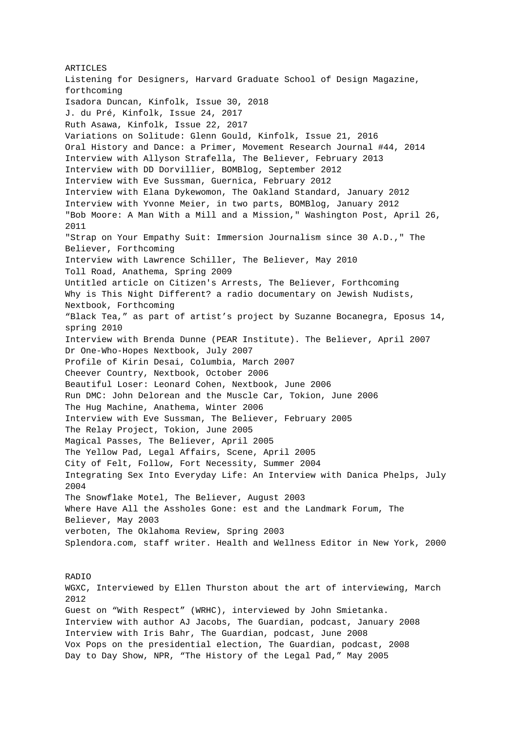ARTICLES Listening for Designers, Harvard Graduate School of Design Magazine, forthcoming Isadora Duncan, Kinfolk, Issue 30, 2018 J. du Pré, Kinfolk, Issue 24, 2017 Ruth Asawa, Kinfolk, Issue 22, 2017 Variations on Solitude: Glenn Gould, Kinfolk, Issue 21, 2016 Oral History and Dance: a Primer, Movement Research Journal #44, 2014 Interview with Allyson Strafella, The Believer, February 2013 Interview with DD Dorvillier, BOMBlog, September 2012 Interview with Eve Sussman, Guernica, February 2012 Interview with Elana Dykewomon, The Oakland Standard, January 2012 Interview with Yvonne Meier, in two parts, BOMBlog, January 2012 "Bob Moore: A Man With a Mill and a Mission," Washington Post, April 26, 2011 "Strap on Your Empathy Suit: Immersion Journalism since 30 A.D.," The Believer, Forthcoming Interview with Lawrence Schiller, The Believer, May 2010 Toll Road, Anathema, Spring 2009 Untitled article on Citizen's Arrests, The Believer, Forthcoming Why is This Night Different? a radio documentary on Jewish Nudists, Nextbook, Forthcoming "Black Tea," as part of artist's project by Suzanne Bocanegra, Eposus 14, spring 2010 Interview with Brenda Dunne (PEAR Institute). The Believer, April 2007 Dr One-Who-Hopes Nextbook, July 2007 Profile of Kirin Desai, Columbia, March 2007 Cheever Country, Nextbook, October 2006 Beautiful Loser: Leonard Cohen, Nextbook, June 2006 Run DMC: John Delorean and the Muscle Car, Tokion, June 2006 The Hug Machine, Anathema, Winter 2006 Interview with Eve Sussman, The Believer, February 2005 The Relay Project, Tokion, June 2005 Magical Passes, The Believer, April 2005 The Yellow Pad, Legal Affairs, Scene, April 2005 City of Felt, Follow, Fort Necessity, Summer 2004 Integrating Sex Into Everyday Life: An Interview with Danica Phelps, July 2004 The Snowflake Motel, The Believer, August 2003 Where Have All the Assholes Gone: est and the Landmark Forum, The Believer, May 2003 verboten, The Oklahoma Review, Spring 2003 Splendora.com, staff writer. Health and Wellness Editor in New York, 2000

## RADIO

WGXC, Interviewed by Ellen Thurston about the art of interviewing, March 2012 Guest on "With Respect" (WRHC), interviewed by John Smietanka. Interview with author AJ Jacobs, The Guardian, podcast, January 2008 Interview with Iris Bahr, The Guardian, podcast, June 2008 Vox Pops on the presidential election, The Guardian, podcast, 2008 Day to Day Show, NPR, "The History of the Legal Pad," May 2005